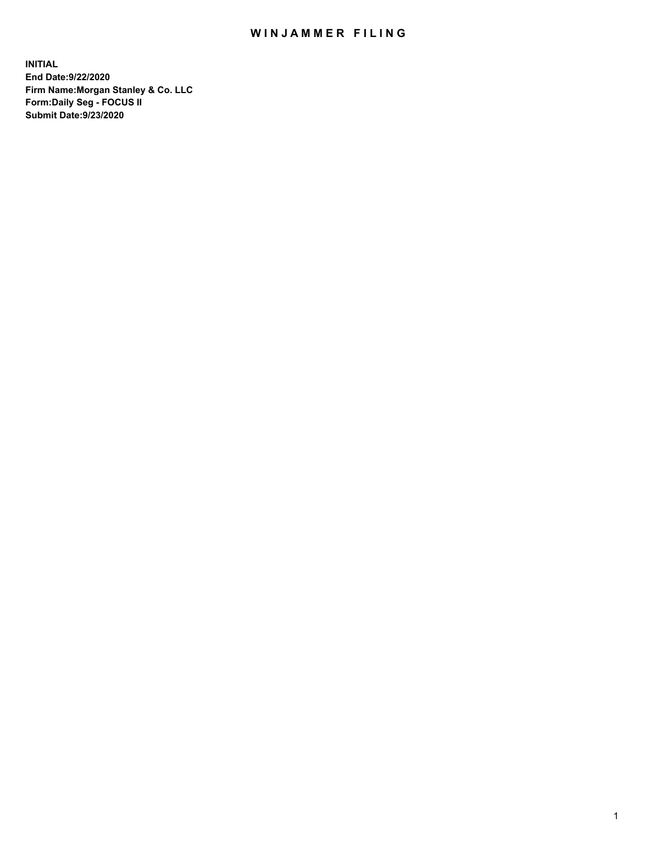## WIN JAMMER FILING

**INITIAL End Date:9/22/2020 Firm Name:Morgan Stanley & Co. LLC Form:Daily Seg - FOCUS II Submit Date:9/23/2020**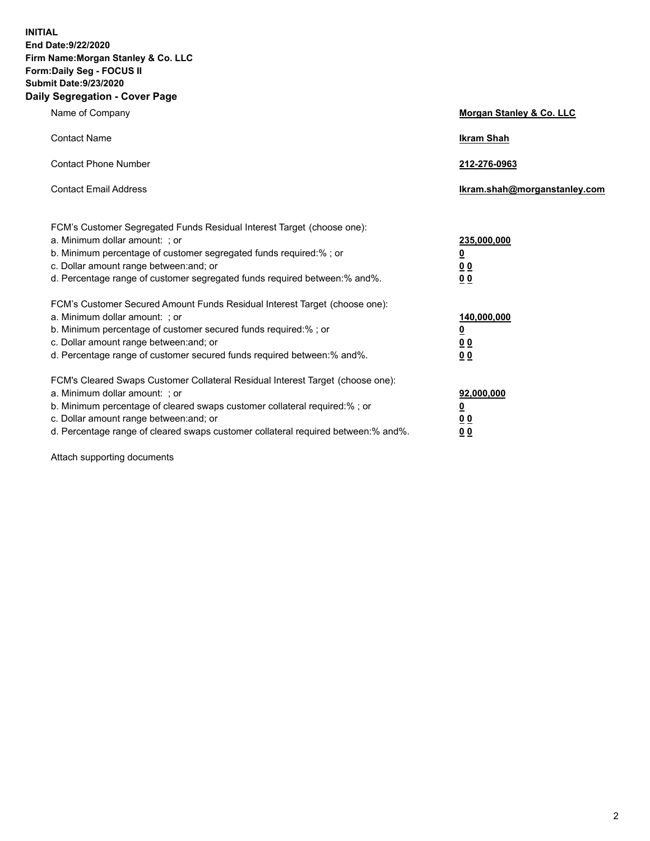**INITIAL End Date:9/22/2020 Firm Name:Morgan Stanley & Co. LLC Form:Daily Seg - FOCUS II Submit Date:9/23/2020 Daily Segregation - Cover Page**

| Name of Company                                                                                                                                                                                                                                                                                                                | Morgan Stanley & Co. LLC                               |
|--------------------------------------------------------------------------------------------------------------------------------------------------------------------------------------------------------------------------------------------------------------------------------------------------------------------------------|--------------------------------------------------------|
| <b>Contact Name</b>                                                                                                                                                                                                                                                                                                            | <b>Ikram Shah</b>                                      |
| <b>Contact Phone Number</b>                                                                                                                                                                                                                                                                                                    | 212-276-0963                                           |
| <b>Contact Email Address</b>                                                                                                                                                                                                                                                                                                   | Ikram.shah@morganstanley.com                           |
| FCM's Customer Segregated Funds Residual Interest Target (choose one):<br>a. Minimum dollar amount: ; or<br>b. Minimum percentage of customer segregated funds required:% ; or<br>c. Dollar amount range between: and; or<br>d. Percentage range of customer segregated funds required between: % and %.                       | 235,000,000<br><u>0</u><br>00<br>0 <sub>0</sub>        |
| FCM's Customer Secured Amount Funds Residual Interest Target (choose one):<br>a. Minimum dollar amount: ; or<br>b. Minimum percentage of customer secured funds required:% ; or<br>c. Dollar amount range between: and; or<br>d. Percentage range of customer secured funds required between:% and%.                           | 140,000,000<br><u>0</u><br><u>00</u><br>0 <sub>0</sub> |
| FCM's Cleared Swaps Customer Collateral Residual Interest Target (choose one):<br>a. Minimum dollar amount: ; or<br>b. Minimum percentage of cleared swaps customer collateral required:% ; or<br>c. Dollar amount range between: and; or<br>d. Percentage range of cleared swaps customer collateral required between:% and%. | 92,000,000<br><u>0</u><br><u>00</u><br>00              |

Attach supporting documents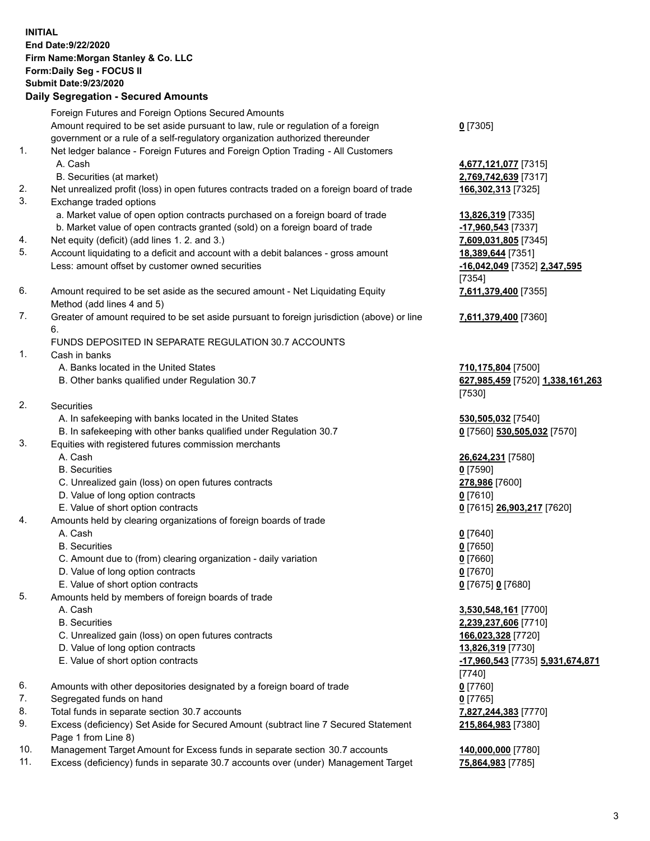|          | <b>INITIAL</b><br>End Date:9/22/2020<br>Firm Name: Morgan Stanley & Co. LLC<br>Form: Daily Seg - FOCUS II<br><b>Submit Date: 9/23/2020</b><br><b>Daily Segregation - Secured Amounts</b> |                                              |
|----------|------------------------------------------------------------------------------------------------------------------------------------------------------------------------------------------|----------------------------------------------|
|          | Foreign Futures and Foreign Options Secured Amounts                                                                                                                                      |                                              |
|          | Amount required to be set aside pursuant to law, rule or regulation of a foreign<br>government or a rule of a self-regulatory organization authorized thereunder                         | $0$ [7305]                                   |
| 1.       | Net ledger balance - Foreign Futures and Foreign Option Trading - All Customers<br>A. Cash                                                                                               | 4,677,121,077 [7315]                         |
|          | B. Securities (at market)                                                                                                                                                                | 2,769,742,639 [7317]                         |
| 2.<br>3. | Net unrealized profit (loss) in open futures contracts traded on a foreign board of trade<br>Exchange traded options                                                                     | 166,302,313 [7325]                           |
|          | a. Market value of open option contracts purchased on a foreign board of trade                                                                                                           | 13,826,319 [7335]                            |
|          | b. Market value of open contracts granted (sold) on a foreign board of trade                                                                                                             | -17,960,543 [7337]                           |
| 4.       | Net equity (deficit) (add lines 1.2. and 3.)                                                                                                                                             | 7,609,031,805 [7345]                         |
| 5.       | Account liquidating to a deficit and account with a debit balances - gross amount                                                                                                        | 18,389,644 [7351]                            |
|          | Less: amount offset by customer owned securities                                                                                                                                         | -16,042,049 [7352] 2,347,595<br>[7354]       |
| 6.       | Amount required to be set aside as the secured amount - Net Liquidating Equity<br>Method (add lines 4 and 5)                                                                             | 7,611,379,400 [7355]                         |
| 7.       | Greater of amount required to be set aside pursuant to foreign jurisdiction (above) or line<br>6.                                                                                        | 7,611,379,400 [7360]                         |
|          | FUNDS DEPOSITED IN SEPARATE REGULATION 30.7 ACCOUNTS                                                                                                                                     |                                              |
| 1.       | Cash in banks                                                                                                                                                                            |                                              |
|          | A. Banks located in the United States                                                                                                                                                    | 710,175,804 [7500]                           |
|          | B. Other banks qualified under Regulation 30.7                                                                                                                                           | 627,985,459 [7520] 1,338,161,263             |
|          |                                                                                                                                                                                          | [7530]                                       |
| 2.       | Securities                                                                                                                                                                               |                                              |
|          | A. In safekeeping with banks located in the United States                                                                                                                                | 530,505,032 [7540]                           |
| 3.       | B. In safekeeping with other banks qualified under Regulation 30.7<br>Equities with registered futures commission merchants                                                              | 0 [7560] 530,505,032 [7570]                  |
|          | A. Cash                                                                                                                                                                                  | 26,624,231 [7580]                            |
|          | <b>B.</b> Securities                                                                                                                                                                     | $0$ [7590]                                   |
|          | C. Unrealized gain (loss) on open futures contracts                                                                                                                                      | 278,986 [7600]                               |
|          | D. Value of long option contracts                                                                                                                                                        | $0$ [7610]                                   |
|          | E. Value of short option contracts                                                                                                                                                       | 0 [7615] 26,903,217 [7620]                   |
| 4.       | Amounts held by clearing organizations of foreign boards of trade                                                                                                                        |                                              |
|          | A. Cash                                                                                                                                                                                  | $0$ [7640]                                   |
|          | <b>B.</b> Securities                                                                                                                                                                     | $0$ [7650]                                   |
|          | C. Amount due to (from) clearing organization - daily variation                                                                                                                          | $0$ [7660]                                   |
|          | D. Value of long option contracts                                                                                                                                                        | $0$ [7670]                                   |
|          | E. Value of short option contracts                                                                                                                                                       | 0 [7675] 0 [7680]                            |
| 5.       | Amounts held by members of foreign boards of trade<br>A. Cash                                                                                                                            |                                              |
|          | <b>B.</b> Securities                                                                                                                                                                     | 3,530,548,161 [7700]<br>2,239,237,606 [7710] |
|          | C. Unrealized gain (loss) on open futures contracts                                                                                                                                      | 166,023,328 [7720]                           |
|          | D. Value of long option contracts                                                                                                                                                        | 13,826,319 [7730]                            |
|          | E. Value of short option contracts                                                                                                                                                       | -17,960,543 [7735] 5,931,674,871             |
|          |                                                                                                                                                                                          | [7740]                                       |
| 6.       | Amounts with other depositories designated by a foreign board of trade                                                                                                                   | $0$ [7760]                                   |
| 7.       | Segregated funds on hand                                                                                                                                                                 | $0$ [7765]                                   |
| 8.       | Total funds in separate section 30.7 accounts                                                                                                                                            | 7,827,244,383 [7770]                         |
| 9.       | Excess (deficiency) Set Aside for Secured Amount (subtract line 7 Secured Statement<br>Page 1 from Line 8)                                                                               | 215,864,983 [7380]                           |

- 10. Management Target Amount for Excess funds in separate section 30.7 accounts **140,000,000** [7780]
- 11. Excess (deficiency) funds in separate 30.7 accounts over (under) Management Target **75,864,983** [7785]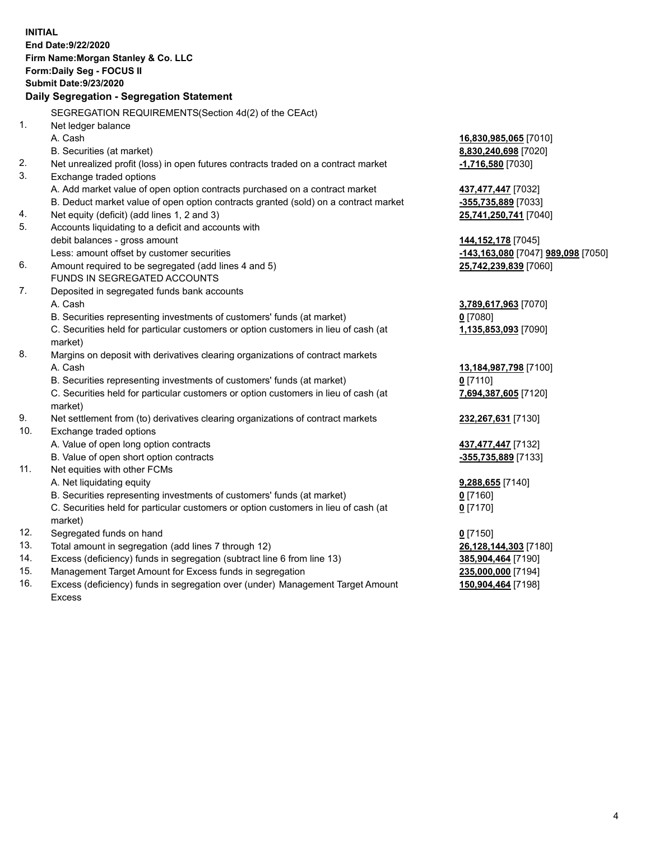|                | <b>INITIAL</b>                                                                                                |                                              |
|----------------|---------------------------------------------------------------------------------------------------------------|----------------------------------------------|
|                | End Date: 9/22/2020                                                                                           |                                              |
|                | Firm Name: Morgan Stanley & Co. LLC                                                                           |                                              |
|                | Form: Daily Seg - FOCUS II                                                                                    |                                              |
|                | <b>Submit Date: 9/23/2020</b>                                                                                 |                                              |
|                | Daily Segregation - Segregation Statement                                                                     |                                              |
|                | SEGREGATION REQUIREMENTS(Section 4d(2) of the CEAct)                                                          |                                              |
| 1 <sub>1</sub> |                                                                                                               |                                              |
|                | Net ledger balance<br>A. Cash                                                                                 |                                              |
|                |                                                                                                               | 16,830,985,065 [7010]                        |
| 2.             | B. Securities (at market)                                                                                     | 8,830,240,698 [7020]                         |
| 3.             | Net unrealized profit (loss) in open futures contracts traded on a contract market<br>Exchange traded options | -1,716,580 [7030]                            |
|                | A. Add market value of open option contracts purchased on a contract market                                   |                                              |
|                | B. Deduct market value of open option contracts granted (sold) on a contract market                           | 437,477,447 [7032]                           |
| 4.             | Net equity (deficit) (add lines 1, 2 and 3)                                                                   | -355,735,889 [7033]<br>25,741,250,741 [7040] |
| 5.             | Accounts liquidating to a deficit and accounts with                                                           |                                              |
|                | debit balances - gross amount                                                                                 | 144, 152, 178 [7045]                         |
|                | Less: amount offset by customer securities                                                                    | -143,163,080 [7047] 989,098 [7050]           |
| 6.             | Amount required to be segregated (add lines 4 and 5)                                                          | 25,742,239,839 [7060]                        |
|                | FUNDS IN SEGREGATED ACCOUNTS                                                                                  |                                              |
| 7.             | Deposited in segregated funds bank accounts                                                                   |                                              |
|                | A. Cash                                                                                                       | 3,789,617,963 [7070]                         |
|                | B. Securities representing investments of customers' funds (at market)                                        | $0$ [7080]                                   |
|                | C. Securities held for particular customers or option customers in lieu of cash (at                           | 1,135,853,093 [7090]                         |
|                | market)                                                                                                       |                                              |
| 8.             | Margins on deposit with derivatives clearing organizations of contract markets                                |                                              |
|                | A. Cash                                                                                                       | 13,184,987,798 [7100]                        |
|                | B. Securities representing investments of customers' funds (at market)                                        | $0$ [7110]                                   |
|                | C. Securities held for particular customers or option customers in lieu of cash (at                           | 7,694,387,605 [7120]                         |
|                | market)                                                                                                       |                                              |
| 9.             | Net settlement from (to) derivatives clearing organizations of contract markets                               | 232,267,631 [7130]                           |
| 10.            | Exchange traded options                                                                                       |                                              |
|                | A. Value of open long option contracts                                                                        | 437,477,447 [7132]                           |
|                | B. Value of open short option contracts                                                                       | -355,735,889 [7133]                          |
| 11.            | Net equities with other FCMs                                                                                  |                                              |
|                | A. Net liquidating equity                                                                                     | 9,288,655 [7140]                             |
|                | B. Securities representing investments of customers' funds (at market)                                        | $0$ [7160]                                   |
|                | C. Securities held for particular customers or option customers in lieu of cash (at                           | $0$ [7170]                                   |
|                | market)                                                                                                       |                                              |
| 12.            | Segregated funds on hand                                                                                      | $0$ [7150]                                   |
| 13.            | Total amount in segregation (add lines 7 through 12)                                                          | 26,128,144,303 [7180]                        |
| 14.            | Excess (deficiency) funds in segregation (subtract line 6 from line 13)                                       | 385,904,464 [7190]                           |
| 15.            | Management Target Amount for Excess funds in segregation                                                      | 235,000,000 [7194]                           |
| 16.            | Excess (deficiency) funds in segregation over (under) Management Target Amount                                | 150,904,464 [7198]                           |

16. Excess (deficiency) funds in segregation over (under) Management Target Amount Excess